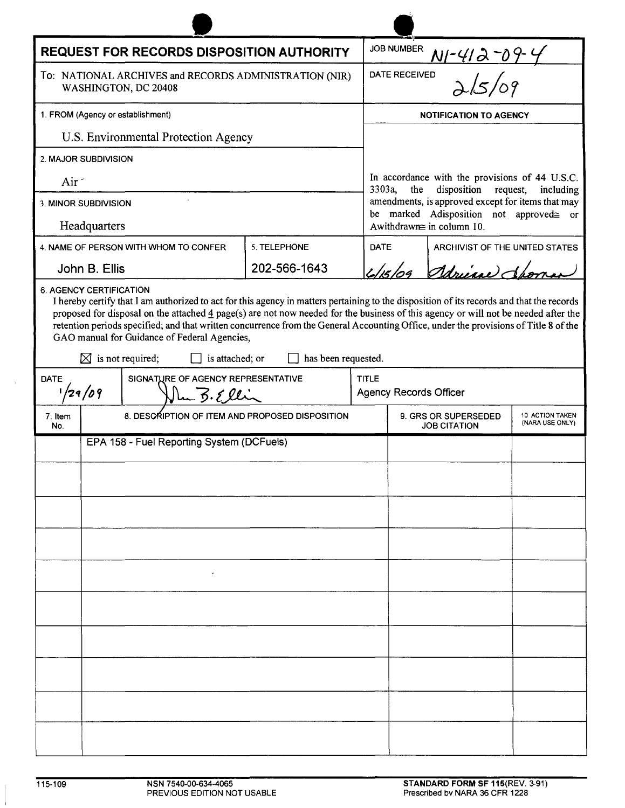| <b>REQUEST FOR RECORDS DISPOSITION AUTHORITY</b>                                                                                                                                                                                                                                                                                                                                                                                                                                                                                                                                                |                                                 |              |             | <b>JOB NUMBER</b>                                                                                                                                                                                                                 |  |                                |  |
|-------------------------------------------------------------------------------------------------------------------------------------------------------------------------------------------------------------------------------------------------------------------------------------------------------------------------------------------------------------------------------------------------------------------------------------------------------------------------------------------------------------------------------------------------------------------------------------------------|-------------------------------------------------|--------------|-------------|-----------------------------------------------------------------------------------------------------------------------------------------------------------------------------------------------------------------------------------|--|--------------------------------|--|
| To: NATIONAL ARCHIVES and RECORDS ADMINISTRATION (NIR)<br>WASHINGTON, DC 20408                                                                                                                                                                                                                                                                                                                                                                                                                                                                                                                  |                                                 |              |             | <u>NI-412-09-4</u><br>Dals/09<br>DATE RECEIVED                                                                                                                                                                                    |  |                                |  |
| 1. FROM (Agency or establishment)                                                                                                                                                                                                                                                                                                                                                                                                                                                                                                                                                               |                                                 |              |             | <b>NOTIFICATION TO AGENCY</b>                                                                                                                                                                                                     |  |                                |  |
| U.S. Environmental Protection Agency                                                                                                                                                                                                                                                                                                                                                                                                                                                                                                                                                            |                                                 |              |             |                                                                                                                                                                                                                                   |  |                                |  |
| 2. MAJOR SUBDIVISION                                                                                                                                                                                                                                                                                                                                                                                                                                                                                                                                                                            |                                                 |              |             |                                                                                                                                                                                                                                   |  |                                |  |
| Air -                                                                                                                                                                                                                                                                                                                                                                                                                                                                                                                                                                                           |                                                 |              |             | In accordance with the provisions of 44 U.S.C.<br>3303a,<br>disposition<br>the<br>request, including<br>amendments, is approved except for items that may<br>be marked Adisposition not approved gor<br>Awithdrawne in column 10. |  |                                |  |
| 3. MINOR SUBDIVISION                                                                                                                                                                                                                                                                                                                                                                                                                                                                                                                                                                            |                                                 |              |             |                                                                                                                                                                                                                                   |  |                                |  |
| Headquarters                                                                                                                                                                                                                                                                                                                                                                                                                                                                                                                                                                                    |                                                 |              |             |                                                                                                                                                                                                                                   |  |                                |  |
|                                                                                                                                                                                                                                                                                                                                                                                                                                                                                                                                                                                                 | 4. NAME OF PERSON WITH WHOM TO CONFER           | 5. TELEPHONE | <b>DATE</b> |                                                                                                                                                                                                                                   |  | ARCHIVIST OF THE UNITED STATES |  |
|                                                                                                                                                                                                                                                                                                                                                                                                                                                                                                                                                                                                 | John B. Ellis                                   | 202-566-1643 |             | Adriene Ch<br>L/s/04                                                                                                                                                                                                              |  |                                |  |
| <b>6. AGENCY CERTIFICATION</b><br>I hereby certify that I am authorized to act for this agency in matters pertaining to the disposition of its records and that the records<br>proposed for disposal on the attached $\frac{4}{3}$ page(s) are not now needed for the business of this agency or will not be needed after the<br>retention periods specified; and that written concurrence from the General Accounting Office, under the provisions of Title 8 of the<br>GAO manual for Guidance of Federal Agencies,<br>has been requested.<br>$\boxtimes$ is not required;<br>is attached; or |                                                 |              |             |                                                                                                                                                                                                                                   |  |                                |  |
| SIGNATURE OF AGENCY REPRESENTATIVE<br><b>TITLE</b><br><b>DATE</b>                                                                                                                                                                                                                                                                                                                                                                                                                                                                                                                               |                                                 |              |             |                                                                                                                                                                                                                                   |  |                                |  |
| 1/29/09<br>lu B.Ellin                                                                                                                                                                                                                                                                                                                                                                                                                                                                                                                                                                           |                                                 |              |             | <b>Agency Records Officer</b>                                                                                                                                                                                                     |  |                                |  |
| 7. Item<br>No.                                                                                                                                                                                                                                                                                                                                                                                                                                                                                                                                                                                  | 8. DESCRIPTION OF ITEM AND PROPOSED DISPOSITION |              |             | 10 ACTION TAKEN<br><b>9. GRS OR SUPERSEDED</b><br>(NARA USE ONLY)<br><b>JOB CITATION</b>                                                                                                                                          |  |                                |  |
| EPA 158 - Fuel Reporting System (DCFuels)                                                                                                                                                                                                                                                                                                                                                                                                                                                                                                                                                       |                                                 |              |             |                                                                                                                                                                                                                                   |  |                                |  |
|                                                                                                                                                                                                                                                                                                                                                                                                                                                                                                                                                                                                 |                                                 |              |             |                                                                                                                                                                                                                                   |  |                                |  |
|                                                                                                                                                                                                                                                                                                                                                                                                                                                                                                                                                                                                 |                                                 |              |             |                                                                                                                                                                                                                                   |  |                                |  |
|                                                                                                                                                                                                                                                                                                                                                                                                                                                                                                                                                                                                 |                                                 |              |             |                                                                                                                                                                                                                                   |  |                                |  |
|                                                                                                                                                                                                                                                                                                                                                                                                                                                                                                                                                                                                 |                                                 |              |             |                                                                                                                                                                                                                                   |  |                                |  |
|                                                                                                                                                                                                                                                                                                                                                                                                                                                                                                                                                                                                 |                                                 |              |             |                                                                                                                                                                                                                                   |  |                                |  |
|                                                                                                                                                                                                                                                                                                                                                                                                                                                                                                                                                                                                 |                                                 |              |             |                                                                                                                                                                                                                                   |  |                                |  |
|                                                                                                                                                                                                                                                                                                                                                                                                                                                                                                                                                                                                 |                                                 |              |             |                                                                                                                                                                                                                                   |  |                                |  |
|                                                                                                                                                                                                                                                                                                                                                                                                                                                                                                                                                                                                 |                                                 |              |             |                                                                                                                                                                                                                                   |  |                                |  |
|                                                                                                                                                                                                                                                                                                                                                                                                                                                                                                                                                                                                 |                                                 |              |             |                                                                                                                                                                                                                                   |  |                                |  |
|                                                                                                                                                                                                                                                                                                                                                                                                                                                                                                                                                                                                 |                                                 |              |             |                                                                                                                                                                                                                                   |  |                                |  |
|                                                                                                                                                                                                                                                                                                                                                                                                                                                                                                                                                                                                 |                                                 |              |             |                                                                                                                                                                                                                                   |  |                                |  |
|                                                                                                                                                                                                                                                                                                                                                                                                                                                                                                                                                                                                 |                                                 |              |             |                                                                                                                                                                                                                                   |  |                                |  |
|                                                                                                                                                                                                                                                                                                                                                                                                                                                                                                                                                                                                 |                                                 |              |             |                                                                                                                                                                                                                                   |  |                                |  |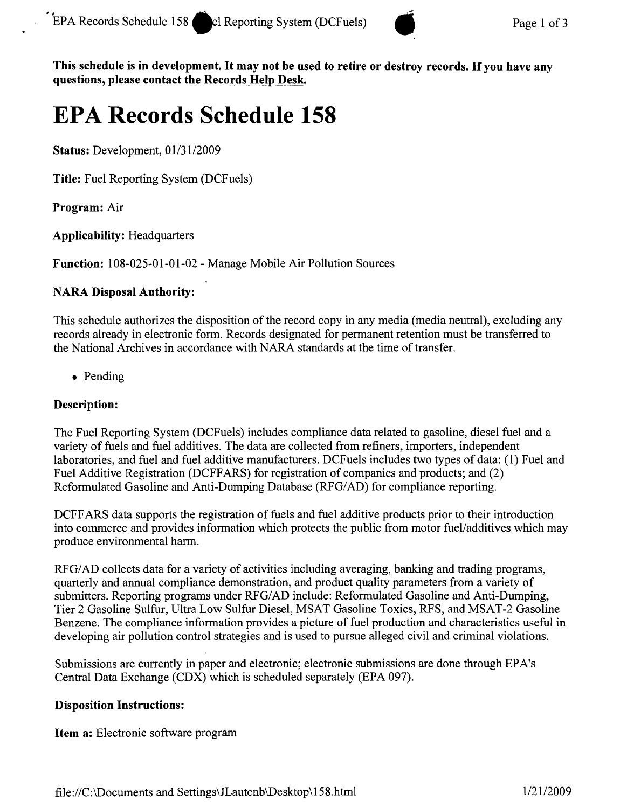

This schedule is in development. It may not be used to retire or destroy records. If you have any questions, please contact the Records Help Desk.

# **EPA Records Schedule 158**

Status: Development, *01/31/2009*

Title: Fuel Reporting System (DCFuels)

Program: Air

Applicability: Headquarters

Function: 108-025-01-01-02 - Manage Mobile Air Pollution Sources

## NARA Disposal Authority:

This schedule authorizes the disposition of the record copy in any media (media neutral), excluding any records already in electronic form. Records designated for permanent retention must be transferred to the National Archives in accordance with NARA standards at the time of transfer.

• Pending

# Description:

The Fuel Reporting System (DCFuels) includes compliance data related to gasoline, diesel fuel and a variety of fuels and fuel additives. The data are collected from refiners, importers, independent laboratories, and fuel and fuel additive manufacturers. DCFueis includes two types of data: (1) Fuel and Fuel Additive Registration (DCFFARS) for registration of companies and products; and (2) Reformulated Gasoline and Anti-Dumping Database *(RFG/AD)* for compliance reporting.

DCFFARS data supports the registration of fuels and fuel additive products prior to their introduction into commerce and provides information which protects the public from motor fuel/additives which may produce environmental harm.

*RFGI* AD collects data for a variety of activities including averaging, banking and trading programs, quarterly and annual compliance demonstration, and product quality parameters from a variety of submitters. Reporting programs under *RFG/AD* include: Reformulated Gasoline and Anti-Dumping, Tier 2 Gasoline Sulfur, Ultra Low Sulfur Diesel, MSAT Gasoline Toxics, RFS, and MSAT-2 Gasoline Benzene. The compliance information provides a picture of fuel production and characteristics useful in developing air pollution control strategies and is used to pursue alleged civil and criminal violations.

Submissions are currently in paper and electronic; electronic submissions are done through EPA's Central Data Exchange (CDX) which is scheduled separately (EPA 097).

## Disposition Instructions:

Item a: Electronic software program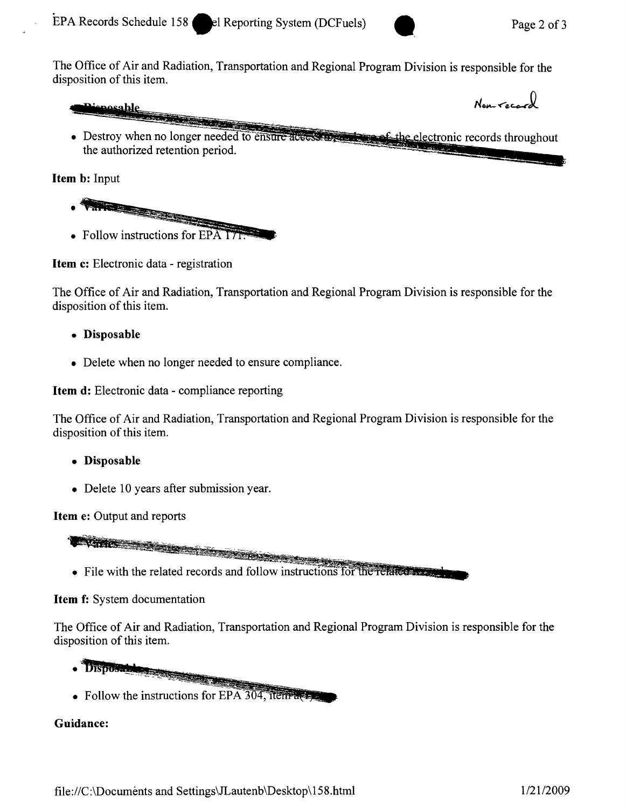**Province** 

Non-record

EPA Records Schedule 158 **••** el Reporting System (DCFuels) Page 2 of 3<br>The Office of Air and Radiation, Transportation and Regional Program Division is responsible for the disposition of this item.

mosable

• Destroy when no longer needed to ensure a the authorized retention period.

**Item b:** Input

- 
- Follow instructions for  $E\overrightarrow{PA}$   $\overrightarrow{LP}$

**Item c:** Electronic data - registration

The Office of Air and Radiation, Transportation and Regional Program Division is responsible for the disposition of this item.

- **• Disposable**
- Delete when no longer needed to ensure compliance.

**Item d:** Electronic data - compliance reporting

The Office of Air and Radiation, Transportation and Regional Program Division is responsible for the disposition of this item.

- **• Disposable**
- Delete 10 years after submission year.

**Item e:** Output and reports

a a film a cheangailte a cheangailte a cheangailte a cheangailte a cheangailte a cheangailte a cheangailte a c

• File with the related records and follow instructions for the related  $\bullet$ 

# **Item f:** System documentation

The Office of Air and Radiation, Transportation and Regional Program Division is responsible for the disposition of this item.

- . Disposable
- Follow the instructions for EPA 304, item  $\frac{1}{2}$

# **Guidance:**